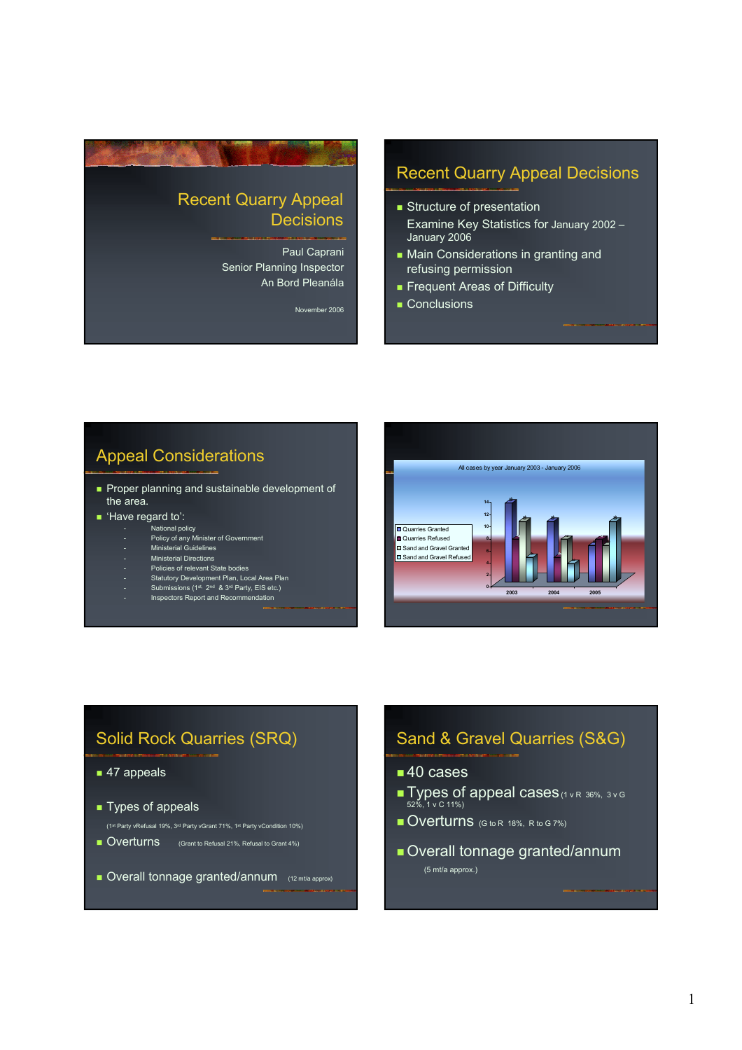# Recent Quarry Appeal **Decisions**

Paul Caprani Senior Planning Inspector An Bord Pleanála

November 2006

## Recent Quarry Appeal Decisions

- **Structure of presentation** Examine Key Statistics for January 2002 – January 2006
- **Main Considerations in granting and** refusing permission
- **Frequent Areas of Difficulty**
- Conclusions

## Appeal Considerations

- **Proper planning and sustainable development of** the area.
- Have regard to':
	- -<br>National policy
		- Policy of any Minister of Government
		- Ministerial Guidelines
	- Ministerial Directions Policies of relevant State bodies
	-
	- Statutory Development Plan, Local Area Plan<br>- Submissions (1<sup>st.</sup> 2<sup>nd</sup> & 3<sup>rd</sup> Party, EIS etc.)
	- Inspectors Report and Recommendation



# Solid Rock Quarries (SRQ)

#### ■ 47 appeals

- **Types of appeals**
- (1st Party vRefusal 19%, 3rd Party vGrant 71%, 1st Party vCondition 10%)
- Overturns (Grant to Refusal 21%, Refusal to Grant 4%)
- Overall tonnage granted/annum (12 mt/a approx)

# Sand & Gravel Quarries (S&G)

- ■40 cases
- **Types of appeal cases** (1 v R 36%, 3 v G 52%, 1 v C 11%)
- Overturns (G to R 18%, R to G 7%)
- Overall tonnage granted/annum (5 mt/a approx.)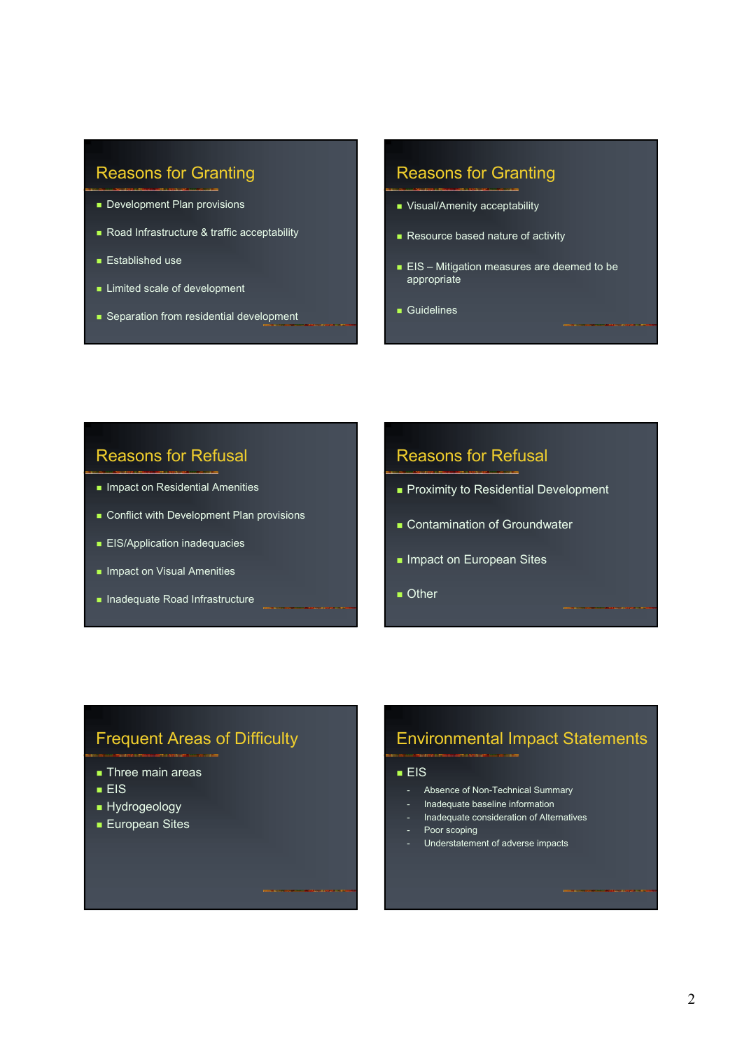# Reasons for Granting

- Development Plan provisions
- Road Infrastructure & traffic acceptability
- **Established use**
- **Limited scale of development**
- Separation from residential development

## Reasons for Granting

- **Visual/Amenity acceptability**
- Resource based nature of activity
- **EIS** Mitigation measures are deemed to be appropriate
- Guidelines

### Reasons for Refusal

- **Impact on Residential Amenities**
- Conflict with Development Plan provisions
- **EIS/Application inadequacies**
- **Impact on Visual Amenities**
- **Inadequate Road Infrastructure**

### Reasons for Refusal

- Proximity to Residential Development
- **Contamination of Groundwater**
- **Impact on European Sites**
- **Other**

### Frequent Areas of Difficulty

- **Three main areas**
- $EIS$
- **Hydrogeology**
- **European Sites**

# Environmental Impact Statements

#### $EIS$

- Absence of Non-Technical Summary
- Inadequate baseline information
- Inadequate consideration of Alternatives
- Poor scoping
- Understatement of adverse impacts